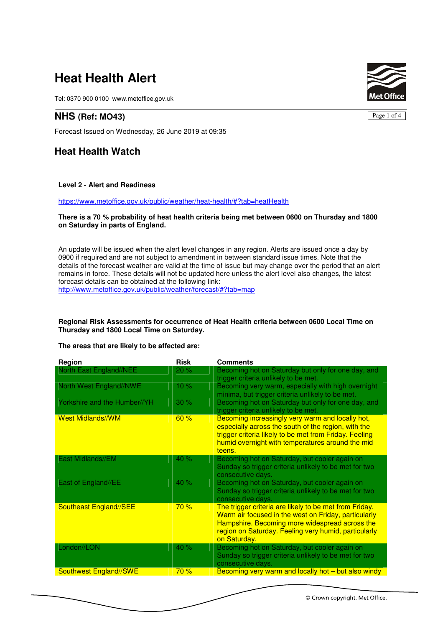# **Heat Health Alert**

Tel: 0370 900 0100 www.metoffice.gov.uk

## **NHS (Ref: MO43)**

Forecast Issued on Wednesday, 26 June 2019 at 09:35

# **Heat Health Watch**

#### **Level 2 - Alert and Readiness**

https://www.metoffice.gov.uk/public/weather/heat-health/#?tab=heatHealth

#### **There is a 70 % probability of heat health criteria being met between 0600 on Thursday and 1800 on Saturday in parts of England.**

An update will be issued when the alert level changes in any region. Alerts are issued once a day by 0900 if required and are not subject to amendment in between standard issue times. Note that the details of the forecast weather are valid at the time of issue but may change over the period that an alert remains in force. These details will not be updated here unless the alert level also changes, the latest forecast details can be obtained at the following link:

http://www.metoffice.gov.uk/public/weather/forecast/#?tab=map

#### **Regional Risk Assessments for occurrence of Heat Health criteria between 0600 Local Time on Thursday and 1800 Local Time on Saturday.**

#### **The areas that are likely to be affected are:**

| Region                       | <b>Risk</b> | <b>Comments</b>                                                                                                                                                                                                                          |
|------------------------------|-------------|------------------------------------------------------------------------------------------------------------------------------------------------------------------------------------------------------------------------------------------|
| North East England//NEE      | 20%         | Becoming hot on Saturday but only for one day, and<br>trigger criteria unlikely to be met.                                                                                                                                               |
| North West England//NWE      | 10 %        | Becoming very warm, especially with high overnight<br>minima, but trigger criteria unlikely to be met.                                                                                                                                   |
| Yorkshire and the Humber//YH | 30%         | Becoming hot on Saturday but only for one day, and<br>trigger criteria unlikely to be met.                                                                                                                                               |
| <b>West Midlands//WM</b>     | 60%         | Becoming increasingly very warm and locally hot,<br>especially across the south of the region, with the<br>trigger criteria likely to be met from Friday. Feeling<br>humid overnight with temperatures around the mid<br>teens.          |
| East Midlands//EM            | 40 %        | Becoming hot on Saturday, but cooler again on<br>Sunday so trigger criteria unlikely to be met for two<br>consecutive days.                                                                                                              |
| East of England//EE          | 40 %        | Becoming hot on Saturday, but cooler again on<br>Sunday so trigger criteria unlikely to be met for two<br>consecutive days.                                                                                                              |
| Southeast England//SEE       | 70%         | The trigger criteria are likely to be met from Friday.<br>Warm air focused in the west on Friday, particularly<br>Hampshire. Becoming more widespread across the<br>region on Saturday. Feeling very humid, particularly<br>on Saturday. |
| London//LON                  | 40 %        | Becoming hot on Saturday, but cooler again on<br>Sunday so trigger criteria unlikely to be met for two<br>consecutive days.                                                                                                              |
| Southwest England//SWE       | 70%         | Becoming very warm and locally hot – but also windy                                                                                                                                                                                      |



Page 1 of 4

© Crown copyright. Met Office.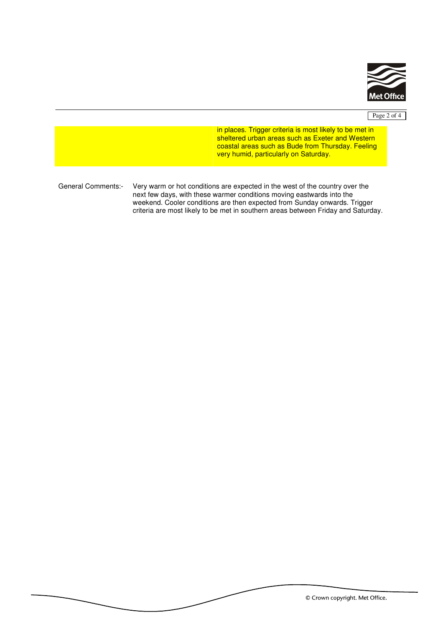

## Page 2 of 4

in places. Trigger criteria is most likely to be met in sheltered urban areas such as Exeter and Western coastal areas such as Bude from Thursday. Feeling very humid, particularly on Saturday.

General Comments:- Very warm or hot conditions are expected in the west of the country over the next few days, with these warmer conditions moving eastwards into the weekend. Cooler conditions are then expected from Sunday onwards. Trigger criteria are most likely to be met in southern areas between Friday and Saturday.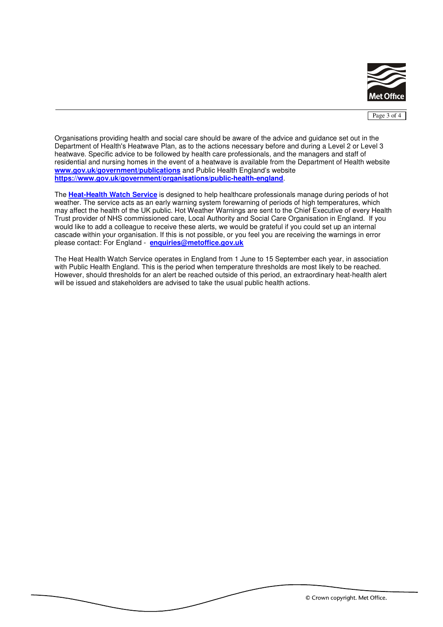

Page 3 of 4

Organisations providing health and social care should be aware of the advice and guidance set out in the Department of Health's Heatwave Plan, as to the actions necessary before and during a Level 2 or Level 3 heatwave. Specific advice to be followed by health care professionals, and the managers and staff of residential and nursing homes in the event of a heatwave is available from the Department of Health website **www.gov.uk/government/publications** and Public Health England's website **https://www.gov.uk/government/organisations/public-health-england**.

The **Heat-Health Watch Service** is designed to help healthcare professionals manage during periods of hot weather. The service acts as an early warning system forewarning of periods of high temperatures, which may affect the health of the UK public. Hot Weather Warnings are sent to the Chief Executive of every Health Trust provider of NHS commissioned care, Local Authority and Social Care Organisation in England. If you would like to add a colleague to receive these alerts, we would be grateful if you could set up an internal cascade within your organisation. If this is not possible, or you feel you are receiving the warnings in error please contact: For England - **enquiries@metoffice.gov.uk**

The Heat Health Watch Service operates in England from 1 June to 15 September each year, in association with Public Health England. This is the period when temperature thresholds are most likely to be reached. However, should thresholds for an alert be reached outside of this period, an extraordinary heat-health alert will be issued and stakeholders are advised to take the usual public health actions.